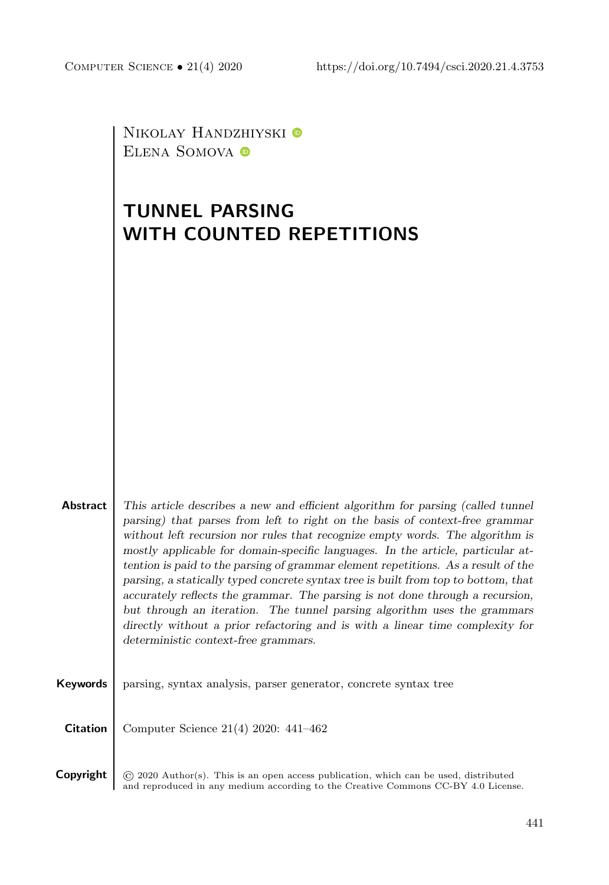NIKOLAY HANDZHIYSKI $\pmb{\mathbb{\Theta}}$ ELENA SOMOVA <sup>O</sup>

# TUNNEL PARSING WITH COUNTED REPETITIONS

| <b>Abstract</b> | This article describes a new and efficient algorithm for parsing (called tunnel)   |  |  |  |  |  |
|-----------------|------------------------------------------------------------------------------------|--|--|--|--|--|
|                 | parsing) that parses from left to right on the basis of context-free grammar       |  |  |  |  |  |
|                 | without left recursion nor rules that recognize empty words. The algorithm is      |  |  |  |  |  |
|                 | mostly applicable for domain-specific languages. In the article, particular at-    |  |  |  |  |  |
|                 | tention is paid to the parsing of grammar element repetitions. As a result of the  |  |  |  |  |  |
|                 | parsing, a statically typed concrete syntax tree is built from top to bottom, that |  |  |  |  |  |
|                 | accurately reflects the grammar. The parsing is not done through a recursion,      |  |  |  |  |  |
|                 | but through an iteration. The tunnel parsing algorithm uses the grammars           |  |  |  |  |  |
|                 | directly without a prior refactoring and is with a linear time complexity for      |  |  |  |  |  |
|                 | deterministic context-free grammars.                                               |  |  |  |  |  |
|                 |                                                                                    |  |  |  |  |  |
|                 |                                                                                    |  |  |  |  |  |
| Keywords        | parsing, syntax analysis, parser generator, concrete syntax tree                   |  |  |  |  |  |
|                 |                                                                                    |  |  |  |  |  |
|                 |                                                                                    |  |  |  |  |  |
| <b>Citation</b> | Computer Science $21(4)$ 2020: $441-462$                                           |  |  |  |  |  |

**Copyright**  $\odot$  2020 Author(s). This is an open access publication, which can be used, distributed and reproduced in any medium according to the [Creative Commons CC-BY 4.0 License.](https://creativecommons.org/licenses/by/4.0/)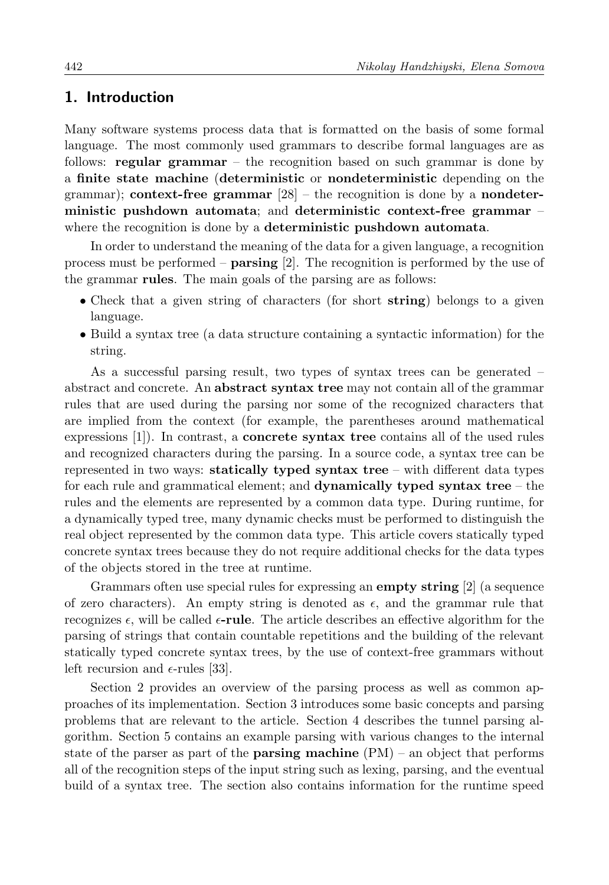## 1. Introduction

Many software systems process data that is formatted on the basis of some formal language. The most commonly used grammars to describe formal languages are as follows: regular grammar – the recognition based on such grammar is done by a finite state machine (deterministic or nondeterministic depending on the grammar); context-free grammar  $[28]$  – the recognition is done by a nondeterministic pushdown automata; and deterministic context-free grammar – where the recognition is done by a **deterministic pushdown automata**.

In order to understand the meaning of the data for a given language, a recognition process must be performed – parsing [\[2\]](#page-18-0). The recognition is performed by the use of the grammar rules. The main goals of the parsing are as follows:

- Check that a given string of characters (for short string) belongs to a given language.
- Build a syntax tree (a data structure containing a syntactic information) for the string.

As a successful parsing result, two types of syntax trees can be generated – abstract and concrete. An abstract syntax tree may not contain all of the grammar rules that are used during the parsing nor some of the recognized characters that are implied from the context (for example, the parentheses around mathematical expressions [\[1\]](#page-18-1)). In contrast, a concrete syntax tree contains all of the used rules and recognized characters during the parsing. In a source code, a syntax tree can be represented in two ways: statically typed syntax tree – with different data types for each rule and grammatical element; and dynamically typed syntax tree – the rules and the elements are represented by a common data type. During runtime, for a dynamically typed tree, many dynamic checks must be performed to distinguish the real object represented by the common data type. This article covers statically typed concrete syntax trees because they do not require additional checks for the data types of the objects stored in the tree at runtime.

Grammars often use special rules for expressing an **empty string** [\[2\]](#page-18-0) (a sequence of zero characters). An empty string is denoted as  $\epsilon$ , and the grammar rule that recognizes  $\epsilon$ , will be called  $\epsilon$ -rule. The article describes an effective algorithm for the parsing of strings that contain countable repetitions and the building of the relevant statically typed concrete syntax trees, by the use of context-free grammars without left recursion and  $\epsilon$ -rules [\[33\]](#page-20-1).

Section [2](#page-2-0) provides an overview of the parsing process as well as common approaches of its implementation. Section [3](#page-4-0) introduces some basic concepts and parsing problems that are relevant to the article. Section [4](#page-6-0) describes the tunnel parsing algorithm. Section [5](#page-13-0) contains an example parsing with various changes to the internal state of the parser as part of the **parsing machine**  $(PM)$  – an object that performs all of the recognition steps of the input string such as lexing, parsing, and the eventual build of a syntax tree. The section also contains information for the runtime speed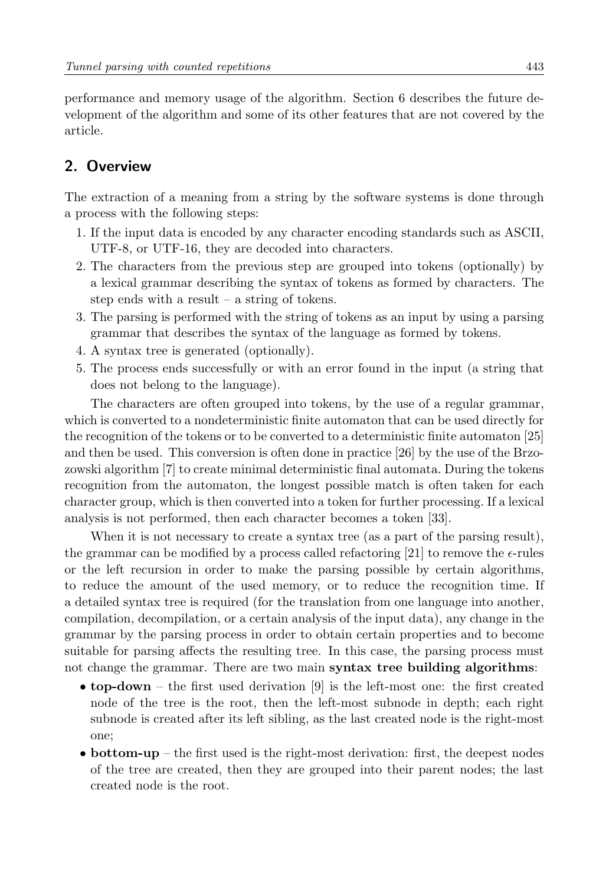performance and memory usage of the algorithm. Section [6](#page-17-0) describes the future development of the algorithm and some of its other features that are not covered by the article.

# <span id="page-2-0"></span>2. Overview

The extraction of a meaning from a string by the software systems is done through a process with the following steps:

- 1. If the input data is encoded by any character encoding standards such as ASCII, UTF-8, or UTF-16, they are decoded into characters.
- 2. The characters from the previous step are grouped into tokens (optionally) by a lexical grammar describing the syntax of tokens as formed by characters. The step ends with a result – a string of tokens.
- 3. The parsing is performed with the string of tokens as an input by using a parsing grammar that describes the syntax of the language as formed by tokens.
- 4. A syntax tree is generated (optionally).
- 5. The process ends successfully or with an error found in the input (a string that does not belong to the language).

The characters are often grouped into tokens, by the use of a regular grammar, which is converted to a nondeterministic finite automaton that can be used directly for the recognition of the tokens or to be converted to a deterministic finite automaton [\[25\]](#page-20-2) and then be used. This conversion is often done in practice [\[26\]](#page-20-3) by the use of the Brzozowski algorithm [\[7\]](#page-19-0) to create minimal deterministic final automata. During the tokens recognition from the automaton, the longest possible match is often taken for each character group, which is then converted into a token for further processing. If a lexical analysis is not performed, then each character becomes a token [\[33\]](#page-20-1).

When it is not necessary to create a syntax tree (as a part of the parsing result), the grammar can be modified by a process called refactoring [\[21\]](#page-19-1) to remove the  $\epsilon$ -rules or the left recursion in order to make the parsing possible by certain algorithms, to reduce the amount of the used memory, or to reduce the recognition time. If a detailed syntax tree is required (for the translation from one language into another, compilation, decompilation, or a certain analysis of the input data), any change in the grammar by the parsing process in order to obtain certain properties and to become suitable for parsing affects the resulting tree. In this case, the parsing process must not change the grammar. There are two main **syntax tree building algorithms**:

- top-down the first used derivation [\[9\]](#page-19-2) is the left-most one: the first created node of the tree is the root, then the left-most subnode in depth; each right subnode is created after its left sibling, as the last created node is the right-most one;
- bottom-up the first used is the right-most derivation: first, the deepest nodes of the tree are created, then they are grouped into their parent nodes; the last created node is the root.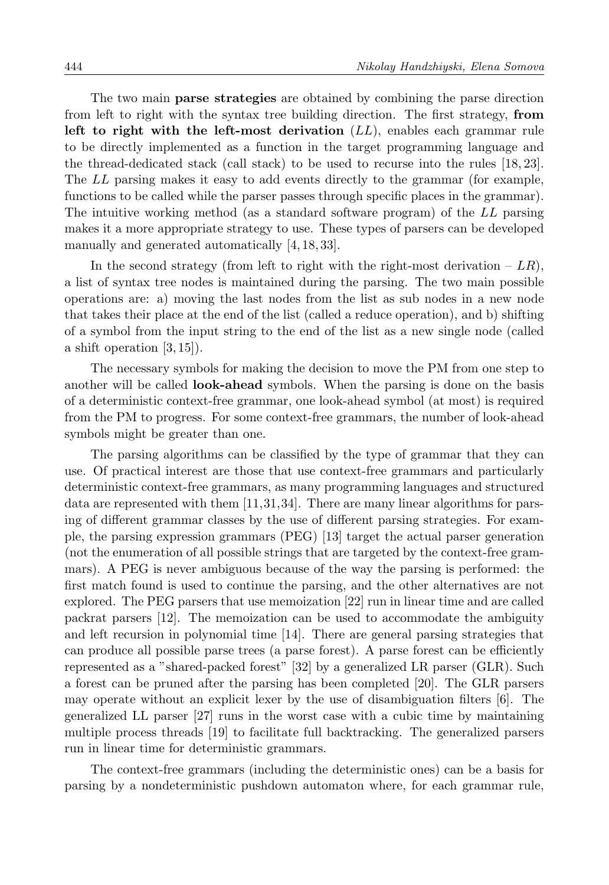The two main **parse strategies** are obtained by combining the parse direction from left to right with the syntax tree building direction. The first strategy, from left to right with the left-most derivation  $(LL)$ , enables each grammar rule to be directly implemented as a function in the target programming language and the thread-dedicated stack (call stack) to be used to recurse into the rules [\[18,](#page-19-3) [23\]](#page-20-4). The LL parsing makes it easy to add events directly to the grammar (for example, functions to be called while the parser passes through specific places in the grammar). The intuitive working method (as a standard software program) of the LL parsing makes it a more appropriate strategy to use. These types of parsers can be developed manually and generated automatically [\[4,](#page-18-2) [18,](#page-19-3) [33\]](#page-20-1).

In the second strategy (from left to right with the right-most derivation –  $LR$ ), a list of syntax tree nodes is maintained during the parsing. The two main possible operations are: a) moving the last nodes from the list as sub nodes in a new node that takes their place at the end of the list (called a reduce operation), and b) shifting of a symbol from the input string to the end of the list as a new single node (called a shift operation  $[3, 15]$  $[3, 15]$ .

The necessary symbols for making the decision to move the PM from one step to another will be called **look-ahead** symbols. When the parsing is done on the basis of a deterministic context-free grammar, one look-ahead symbol (at most) is required from the PM to progress. For some context-free grammars, the number of look-ahead symbols might be greater than one.

The parsing algorithms can be classified by the type of grammar that they can use. Of practical interest are those that use context-free grammars and particularly deterministic context-free grammars, as many programming languages and structured data are represented with them [\[11,](#page-19-5)[31,](#page-20-5)[34\]](#page-20-6). There are many linear algorithms for parsing of different grammar classes by the use of different parsing strategies. For example, the parsing expression grammars (PEG) [\[13\]](#page-19-6) target the actual parser generation (not the enumeration of all possible strings that are targeted by the context-free grammars). A PEG is never ambiguous because of the way the parsing is performed: the first match found is used to continue the parsing, and the other alternatives are not explored. The PEG parsers that use memoization [\[22\]](#page-20-7) run in linear time and are called packrat parsers [\[12\]](#page-19-7). The memoization can be used to accommodate the ambiguity and left recursion in polynomial time [\[14\]](#page-19-8). There are general parsing strategies that can produce all possible parse trees (a parse forest). A parse forest can be efficiently represented as a "shared-packed forest" [\[32\]](#page-20-8) by a generalized LR parser (GLR). Such a forest can be pruned after the parsing has been completed [\[20\]](#page-19-9). The GLR parsers may operate without an explicit lexer by the use of disambiguation filters [\[6\]](#page-19-10). The generalized LL parser [\[27\]](#page-20-9) runs in the worst case with a cubic time by maintaining multiple process threads [\[19\]](#page-19-11) to facilitate full backtracking. The generalized parsers run in linear time for deterministic grammars.

The context-free grammars (including the deterministic ones) can be a basis for parsing by a nondeterministic pushdown automaton where, for each grammar rule,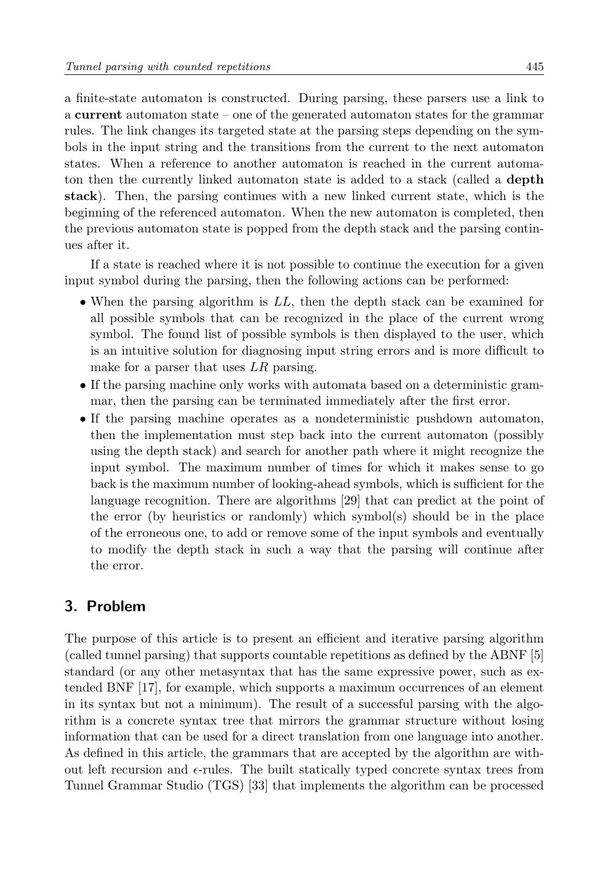a finite-state automaton is constructed. During parsing, these parsers use a link to a current automaton state – one of the generated automaton states for the grammar rules. The link changes its targeted state at the parsing steps depending on the symbols in the input string and the transitions from the current to the next automaton states. When a reference to another automaton is reached in the current automaton then the currently linked automaton state is added to a stack (called a **depth** stack). Then, the parsing continues with a new linked current state, which is the beginning of the referenced automaton. When the new automaton is completed, then the previous automaton state is popped from the depth stack and the parsing continues after it.

If a state is reached where it is not possible to continue the execution for a given input symbol during the parsing, then the following actions can be performed:

- When the parsing algorithm is  $LL$ , then the depth stack can be examined for all possible symbols that can be recognized in the place of the current wrong symbol. The found list of possible symbols is then displayed to the user, which is an intuitive solution for diagnosing input string errors and is more difficult to make for a parser that uses  $LR$  parsing.
- If the parsing machine only works with automata based on a deterministic grammar, then the parsing can be terminated immediately after the first error.
- If the parsing machine operates as a nondeterministic pushdown automaton, then the implementation must step back into the current automaton (possibly using the depth stack) and search for another path where it might recognize the input symbol. The maximum number of times for which it makes sense to go back is the maximum number of looking-ahead symbols, which is sufficient for the language recognition. There are algorithms [\[29\]](#page-20-10) that can predict at the point of the error (by heuristics or randomly) which symbol(s) should be in the place of the erroneous one, to add or remove some of the input symbols and eventually to modify the depth stack in such a way that the parsing will continue after the error.

## <span id="page-4-0"></span>3. Problem

The purpose of this article is to present an efficient and iterative parsing algorithm (called tunnel parsing) that supports countable repetitions as defined by the ABNF [\[5\]](#page-18-4) standard (or any other metasyntax that has the same expressive power, such as extended BNF [\[17\]](#page-19-12), for example, which supports a maximum occurrences of an element in its syntax but not a minimum). The result of a successful parsing with the algorithm is a concrete syntax tree that mirrors the grammar structure without losing information that can be used for a direct translation from one language into another. As defined in this article, the grammars that are accepted by the algorithm are without left recursion and  $\epsilon$ -rules. The built statically typed concrete syntax trees from Tunnel Grammar Studio (TGS) [\[33\]](#page-20-1) that implements the algorithm can be processed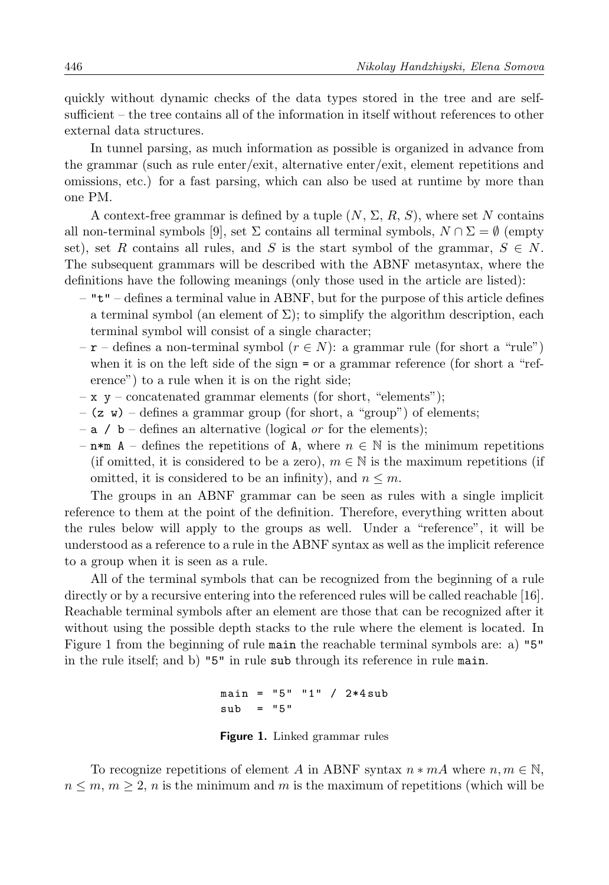quickly without dynamic checks of the data types stored in the tree and are selfsufficient – the tree contains all of the information in itself without references to other external data structures.

In tunnel parsing, as much information as possible is organized in advance from the grammar (such as rule enter/exit, alternative enter/exit, element repetitions and omissions, etc.) for a fast parsing, which can also be used at runtime by more than one PM.

A context-free grammar is defined by a tuple  $(N, \Sigma, R, S)$ , where set N contains all non-terminal symbols [\[9\]](#page-19-2), set  $\Sigma$  contains all terminal symbols,  $N \cap \Sigma = \emptyset$  (empty set), set R contains all rules, and S is the start symbol of the grammar,  $S \in N$ . The subsequent grammars will be described with the ABNF metasyntax, where the definitions have the following meanings (only those used in the article are listed):

- $-$  " $t$ " defines a terminal value in ABNF, but for the purpose of this article defines a terminal symbol (an element of  $\Sigma$ ); to simplify the algorithm description, each terminal symbol will consist of a single character;
- $-\mathbf{r}$  defines a non-terminal symbol  $(r \in N)$ : a grammar rule (for short a "rule") when it is on the left side of the sign = or a grammar reference (for short a "reference") to a rule when it is on the right side;
- $x y \text{concatenated grammar elements (for short, "elements");}$
- $-$  (z w) defines a grammar group (for short, a "group") of elements;
- $-$  a / b defines an alternative (logical *or* for the elements);
- $-$  n<sup>\*m</sup> A defines the repetitions of A, where  $n \in \mathbb{N}$  is the minimum repetitions (if omitted, it is considered to be a zero),  $m \in \mathbb{N}$  is the maximum repetitions (if omitted, it is considered to be an infinity), and  $n \leq m$ .

The groups in an ABNF grammar can be seen as rules with a single implicit reference to them at the point of the definition. Therefore, everything written about the rules below will apply to the groups as well. Under a "reference", it will be understood as a reference to a rule in the ABNF syntax as well as the implicit reference to a group when it is seen as a rule.

All of the terminal symbols that can be recognized from the beginning of a rule directly or by a recursive entering into the referenced rules will be called reachable [\[16\]](#page-19-13). Reachable terminal symbols after an element are those that can be recognized after it without using the possible depth stacks to the rule where the element is located. In Figure [1](#page-5-0) from the beginning of rule main the reachable terminal symbols are: a) "5" in the rule itself; and b) "5" in rule sub through its reference in rule main.

> $main = "5" "1" / 2*4sub$  $sub = "5"$

> Figure 1. Linked grammar rules

<span id="page-5-0"></span>To recognize repetitions of element A in ABNF syntax  $n * mA$  where  $n, m \in \mathbb{N}$ ,  $n \leq m, m \geq 2$ , n is the minimum and m is the maximum of repetitions (which will be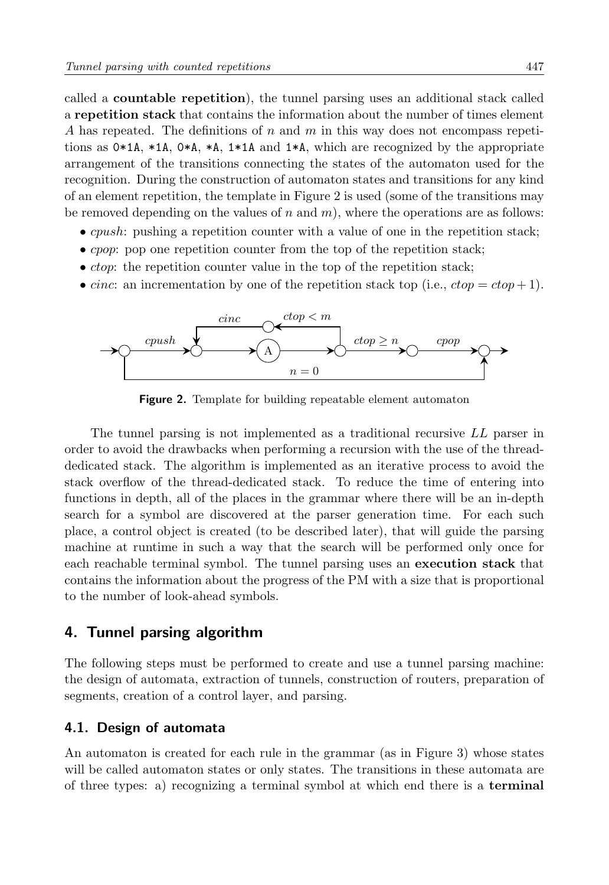called a countable repetition), the tunnel parsing uses an additional stack called a repetition stack that contains the information about the number of times element A has repeated. The definitions of n and m in this way does not encompass repetitions as  $0*1A$ ,  $*1A$ ,  $0*A$ ,  $*A$ ,  $1*1A$  and  $1*A$ , which are recognized by the appropriate arrangement of the transitions connecting the states of the automaton used for the recognition. During the construction of automaton states and transitions for any kind of an element repetition, the template in Figure [2](#page-6-1) is used (some of the transitions may be removed depending on the values of n and m), where the operations are as follows:

- *cpush*: pushing a repetition counter with a value of one in the repetition stack;
- *cpop*: pop one repetition counter from the top of the repetition stack;
- $\bullet$  *ctop*: the repetition counter value in the top of the repetition stack;
- cinc: an incrementation by one of the repetition stack top (i.e.,  $ctop = ctop + 1$ ).

<span id="page-6-1"></span>

Figure 2. Template for building repeatable element automaton

The tunnel parsing is not implemented as a traditional recursive LL parser in order to avoid the drawbacks when performing a recursion with the use of the threaddedicated stack. The algorithm is implemented as an iterative process to avoid the stack overflow of the thread-dedicated stack. To reduce the time of entering into functions in depth, all of the places in the grammar where there will be an in-depth search for a symbol are discovered at the parser generation time. For each such place, a control object is created (to be described later), that will guide the parsing machine at runtime in such a way that the search will be performed only once for each reachable terminal symbol. The tunnel parsing uses an execution stack that contains the information about the progress of the PM with a size that is proportional to the number of look-ahead symbols.

#### <span id="page-6-0"></span>4. Tunnel parsing algorithm

The following steps must be performed to create and use a tunnel parsing machine: the design of automata, extraction of tunnels, construction of routers, preparation of segments, creation of a control layer, and parsing.

#### 4.1. Design of automata

An automaton is created for each rule in the grammar (as in Figure [3\)](#page-7-0) whose states will be called automaton states or only states. The transitions in these automata are of three types: a) recognizing a terminal symbol at which end there is a terminal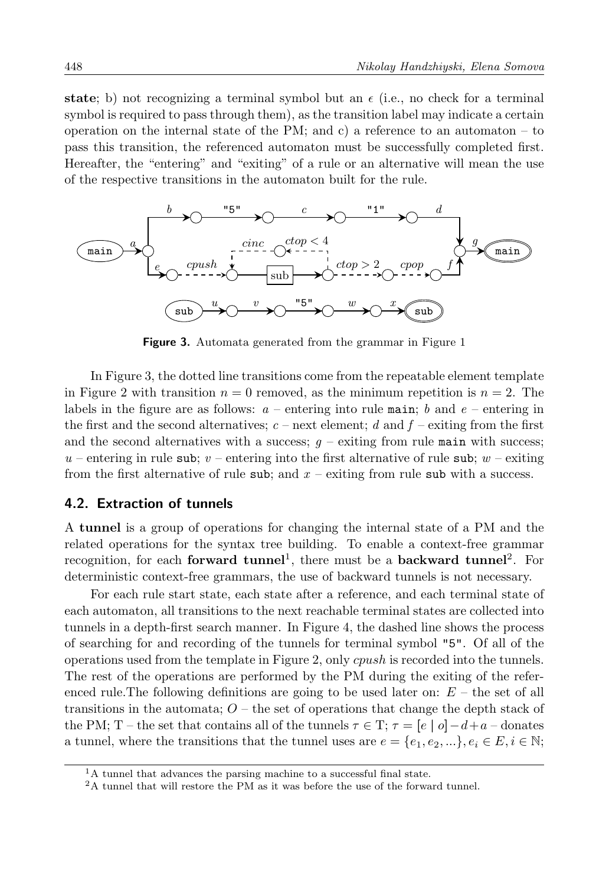state; b) not recognizing a terminal symbol but an  $\epsilon$  (i.e., no check for a terminal symbol is required to pass through them), as the transition label may indicate a certain operation on the internal state of the PM; and c) a reference to an automaton – to pass this transition, the referenced automaton must be successfully completed first. Hereafter, the "entering" and "exiting" of a rule or an alternative will mean the use of the respective transitions in the automaton built for the rule.

<span id="page-7-0"></span>

Figure 3. Automata generated from the grammar in Figure [1](#page-5-0)

In Figure [3,](#page-7-0) the dotted line transitions come from the repeatable element template in Figure [2](#page-6-1) with transition  $n = 0$  removed, as the minimum repetition is  $n = 2$ . The labels in the figure are as follows:  $a$  – entering into rule main; b and  $e$  – entering in the first and the second alternatives;  $c$  – next element; d and  $f$  – exiting from the first and the second alternatives with a success;  $q$  – exiting from rule main with success; u – entering in rule sub; v – entering into the first alternative of rule sub; w – exiting from the first alternative of rule sub; and  $x$  – exiting from rule sub with a success.

#### 4.2. Extraction of tunnels

A tunnel is a group of operations for changing the internal state of a PM and the related operations for the syntax tree building. To enable a context-free grammar recognition, for each **forward tunnel**<sup>[1](#page-7-1)</sup>, there must be a **backward tunnel**<sup>[2](#page-7-2)</sup>. For deterministic context-free grammars, the use of backward tunnels is not necessary.

For each rule start state, each state after a reference, and each terminal state of each automaton, all transitions to the next reachable terminal states are collected into tunnels in a depth-first search manner. In Figure [4,](#page-8-0) the dashed line shows the process of searching for and recording of the tunnels for terminal symbol "5". Of all of the operations used from the template in Figure [2,](#page-6-1) only cpush is recorded into the tunnels. The rest of the operations are performed by the PM during the exiting of the referenced rule. The following definitions are going to be used later on:  $E -$  the set of all transitions in the automata;  $O -$  the set of operations that change the depth stack of the PM; T – the set that contains all of the tunnels  $\tau \in T$ ;  $\tau = [e \mid o] - d + a$  – donates a tunnel, where the transitions that the tunnel uses are  $e = \{e_1, e_2, ...\}$ ,  $e_i \in E$ ,  $i \in \mathbb{N}$ ;

<span id="page-7-1"></span><sup>&</sup>lt;sup>1</sup>A tunnel that advances the parsing machine to a successful final state.

<span id="page-7-2"></span><sup>2</sup>A tunnel that will restore the PM as it was before the use of the forward tunnel.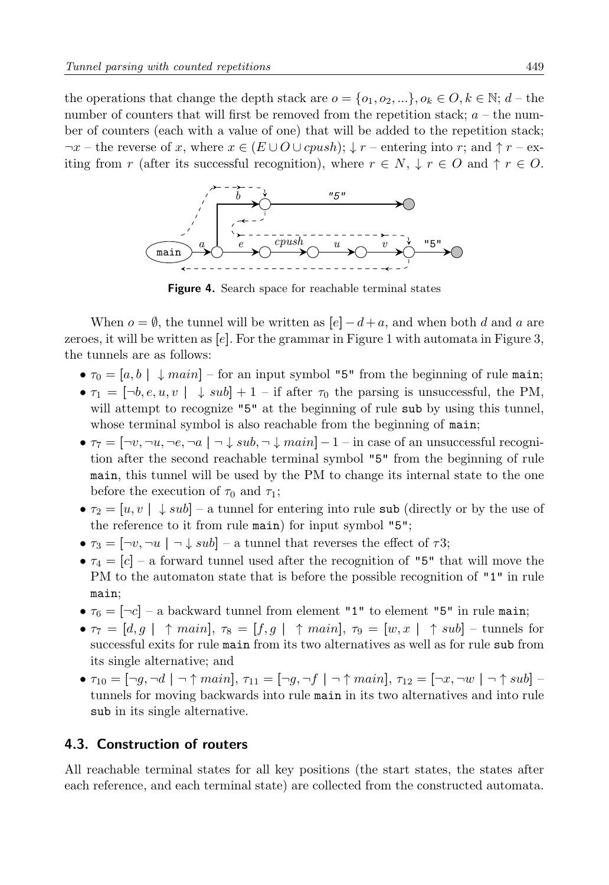the operations that change the depth stack are  $o = \{o_1, o_2, \dots\}, o_k \in O, k \in \mathbb{N}; d$  – the number of counters that will first be removed from the repetition stack;  $a$  – the number of counters (each with a value of one) that will be added to the repetition stack;  $\neg x$  – the reverse of x, where  $x \in (E \cup O \cup cpush); \downarrow r$  – entering into r; and  $\uparrow r$  – exiting from r (after its successful recognition), where  $r \in N$ ,  $\downarrow r \in O$  and  $\uparrow r \in O$ .

<span id="page-8-0"></span>

**Figure 4.** Search space for reachable terminal states

When  $o = \emptyset$ , the tunnel will be written as  $[e] - d + a$ , and when both d and a are zeroes, it will be written as  $[e]$ . For the grammar in Figure [1](#page-5-0) with automata in Figure [3,](#page-7-0) the tunnels are as follows:

- $\tau_0 = [a, b] \downarrow main$  for an input symbol "5" from the beginning of rule main;
- $\tau_1 = [\neg b, e, u, v] \downarrow sub] + 1$  if after  $\tau_0$  the parsing is unsuccessful, the PM, will attempt to recognize "5" at the beginning of rule sub by using this tunnel, whose terminal symbol is also reachable from the beginning of main;
- $\tau_7 = \lceil -v, -u, -e, -a \rceil \sqrt{sub}, -\sqrt{main} \rceil 1 \text{in case of an unsuccessful recognition}$ tion after the second reachable terminal symbol "5" from the beginning of rule main, this tunnel will be used by the PM to change its internal state to the one before the execution of  $\tau_0$  and  $\tau_1$ ;
- $\tau_2 = [u, v] \downarrow sub]$  a tunnel for entering into rule sub (directly or by the use of the reference to it from rule main) for input symbol "5";
- $\tau_3 = [\neg v, \neg u \mid \neg \downarrow sub]$  a tunnel that reverses the effect of  $\tau 3$ ;
- $\tau_4 = [c]$  a forward tunnel used after the recognition of "5" that will move the PM to the automaton state that is before the possible recognition of "1" in rule main;
- $\tau_6 = [-c]$  a backward tunnel from element "1" to element "5" in rule main;
- $\tau_7 = [d, g \mid \hat{\tau} \text{ main}], \tau_8 = [f, g \mid \hat{\tau} \text{ main}], \tau_9 = [w, x \mid \hat{\tau} \text{ sub}]$  tunnels for successful exits for rule main from its two alternatives as well as for rule sub from its single alternative; and
- $\tau_{10} = \lceil \neg g, \neg d \rceil \uparrow \text{main}$ ,  $\tau_{11} = \lceil \neg g, \neg f \rceil \uparrow \text{main}$ ,  $\tau_{12} = \lceil \neg x, \neg w \rceil \uparrow \text{sub}$ tunnels for moving backwards into rule main in its two alternatives and into rule sub in its single alternative.

# 4.3. Construction of routers

All reachable terminal states for all key positions (the start states, the states after each reference, and each terminal state) are collected from the constructed automata.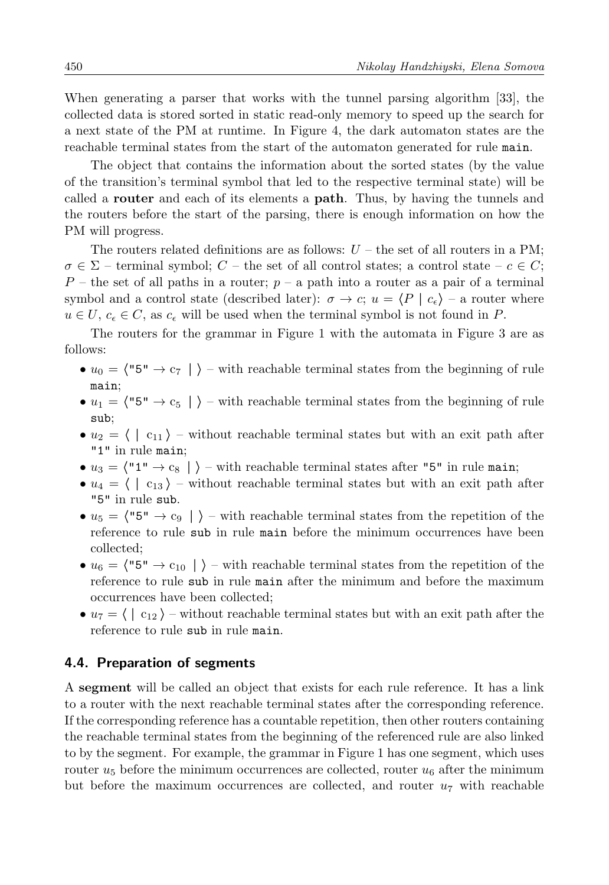When generating a parser that works with the tunnel parsing algorithm [\[33\]](#page-20-1), the collected data is stored sorted in static read-only memory to speed up the search for a next state of the PM at runtime. In Figure [4,](#page-8-0) the dark automaton states are the reachable terminal states from the start of the automaton generated for rule main.

The object that contains the information about the sorted states (by the value of the transition's terminal symbol that led to the respective terminal state) will be called a router and each of its elements a path. Thus, by having the tunnels and the routers before the start of the parsing, there is enough information on how the PM will progress.

The routers related definitions are as follows:  $U$  – the set of all routers in a PM;  $\sigma \in \Sigma$  – terminal symbol; C – the set of all control states; a control state –  $c \in C$ ;  $P$  – the set of all paths in a router;  $p - a$  path into a router as a pair of a terminal symbol and a control state (described later):  $\sigma \to c$ ;  $u = \langle P | c_{\epsilon} \rangle$  – a router where  $u \in U$ ,  $c_{\epsilon} \in C$ , as  $c_{\epsilon}$  will be used when the terminal symbol is not found in P.

The routers for the grammar in Figure [1](#page-5-0) with the automata in Figure [3](#page-7-0) are as follows:

- $u_0 = \langle$ "5"  $\rightarrow$  c<sub>7</sub> |  $\rangle$  with reachable terminal states from the beginning of rule main;
- $u_1 = \langle$ "5"  $\rightarrow$  c<sub>5</sub> |  $\rangle$  with reachable terminal states from the beginning of rule sub;
- $u_2 = \langle \ | \ c_{11} \rangle$  without reachable terminal states but with an exit path after "1" in rule main;
- $u_3 = \langle "1" \rightarrow c_8 | \rangle$  with reachable terminal states after "5" in rule main;
- $u_4 = \langle \, | \, c_{13} \, \rangle$  without reachable terminal states but with an exit path after "5" in rule sub.
- $u_5 = \langle$  "5"  $\rightarrow$  c<sub>9</sub> |  $\rangle$  with reachable terminal states from the repetition of the reference to rule sub in rule main before the minimum occurrences have been collected;
- $u_6 = \langle "5" \rightarrow c_{10} | \rangle$  with reachable terminal states from the repetition of the reference to rule sub in rule main after the minimum and before the maximum occurrences have been collected;
- $u_7 = \langle \, | \, c_{12} \rangle$  without reachable terminal states but with an exit path after the reference to rule sub in rule main.

#### 4.4. Preparation of segments

A segment will be called an object that exists for each rule reference. It has a link to a router with the next reachable terminal states after the corresponding reference. If the corresponding reference has a countable repetition, then other routers containing the reachable terminal states from the beginning of the referenced rule are also linked to by the segment. For example, the grammar in Figure [1](#page-5-0) has one segment, which uses router  $u_5$  before the minimum occurrences are collected, router  $u_6$  after the minimum but before the maximum occurrences are collected, and router  $u_7$  with reachable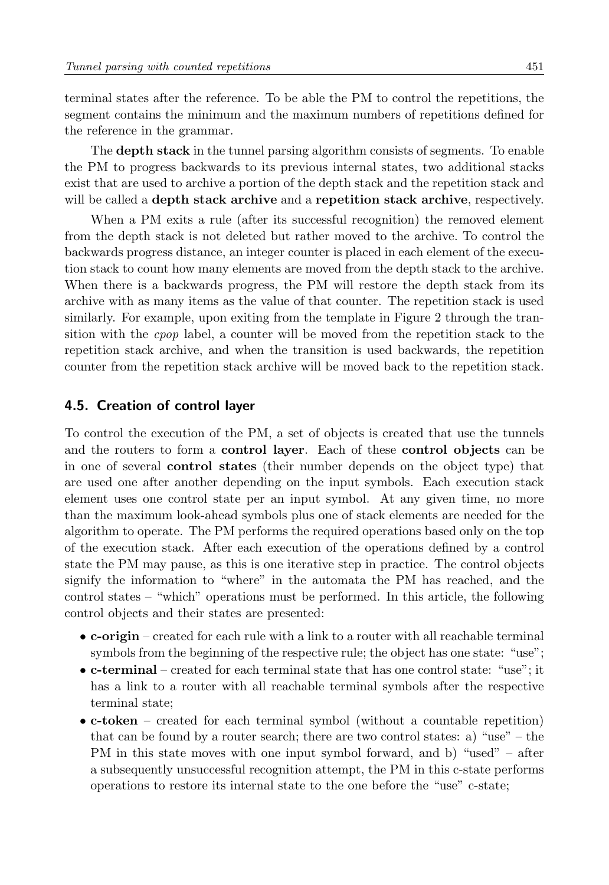terminal states after the reference. To be able the PM to control the repetitions, the segment contains the minimum and the maximum numbers of repetitions defined for the reference in the grammar.

The **depth stack** in the tunnel parsing algorithm consists of segments. To enable the PM to progress backwards to its previous internal states, two additional stacks exist that are used to archive a portion of the depth stack and the repetition stack and will be called a **depth stack archive** and a **repetition stack archive**, respectively.

When a PM exits a rule (after its successful recognition) the removed element from the depth stack is not deleted but rather moved to the archive. To control the backwards progress distance, an integer counter is placed in each element of the execution stack to count how many elements are moved from the depth stack to the archive. When there is a backwards progress, the PM will restore the depth stack from its archive with as many items as the value of that counter. The repetition stack is used similarly. For example, upon exiting from the template in Figure [2](#page-6-1) through the transition with the cpop label, a counter will be moved from the repetition stack to the repetition stack archive, and when the transition is used backwards, the repetition counter from the repetition stack archive will be moved back to the repetition stack.

#### <span id="page-10-0"></span>4.5. Creation of control layer

To control the execution of the PM, a set of objects is created that use the tunnels and the routers to form a control layer. Each of these control objects can be in one of several control states (their number depends on the object type) that are used one after another depending on the input symbols. Each execution stack element uses one control state per an input symbol. At any given time, no more than the maximum look-ahead symbols plus one of stack elements are needed for the algorithm to operate. The PM performs the required operations based only on the top of the execution stack. After each execution of the operations defined by a control state the PM may pause, as this is one iterative step in practice. The control objects signify the information to "where" in the automata the PM has reached, and the control states – "which" operations must be performed. In this article, the following control objects and their states are presented:

- c-origin created for each rule with a link to a router with all reachable terminal symbols from the beginning of the respective rule; the object has one state: "use";
- c-terminal created for each terminal state that has one control state: "use"; it has a link to a router with all reachable terminal symbols after the respective terminal state;
- c-token created for each terminal symbol (without a countable repetition) that can be found by a router search; there are two control states: a) "use" – the PM in this state moves with one input symbol forward, and b) "used" – after a subsequently unsuccessful recognition attempt, the PM in this c-state performs operations to restore its internal state to the one before the "use" c-state;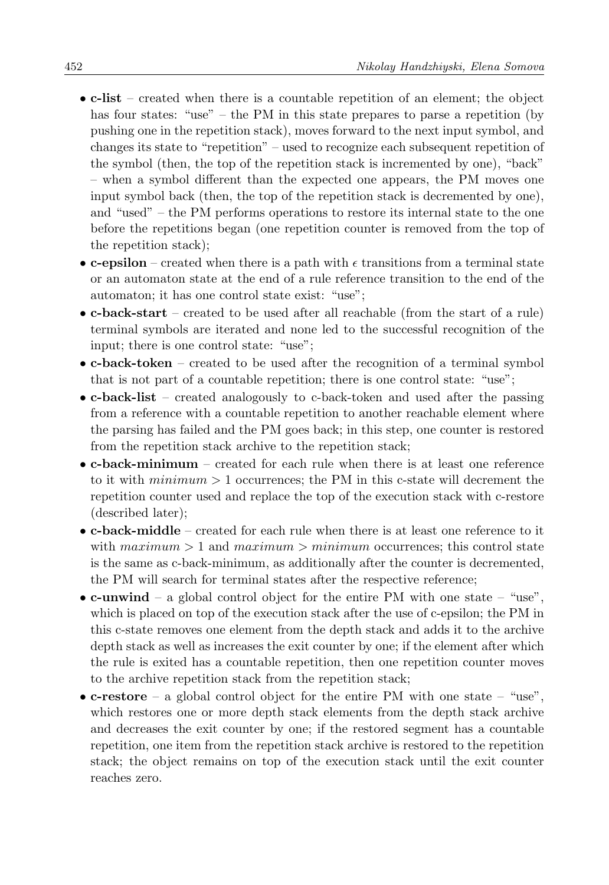- c-list created when there is a countable repetition of an element; the object has four states: "use" – the PM in this state prepares to parse a repetition (by pushing one in the repetition stack), moves forward to the next input symbol, and changes its state to "repetition" – used to recognize each subsequent repetition of the symbol (then, the top of the repetition stack is incremented by one), "back" – when a symbol different than the expected one appears, the PM moves one input symbol back (then, the top of the repetition stack is decremented by one), and "used" – the PM performs operations to restore its internal state to the one before the repetitions began (one repetition counter is removed from the top of the repetition stack);
- c-epsilon created when there is a path with  $\epsilon$  transitions from a terminal state or an automaton state at the end of a rule reference transition to the end of the automaton; it has one control state exist: "use";
- c-back-start created to be used after all reachable (from the start of a rule) terminal symbols are iterated and none led to the successful recognition of the input; there is one control state: "use";
- c-back-token created to be used after the recognition of a terminal symbol that is not part of a countable repetition; there is one control state: "use";
- c-back-list created analogously to c-back-token and used after the passing from a reference with a countable repetition to another reachable element where the parsing has failed and the PM goes back; in this step, one counter is restored from the repetition stack archive to the repetition stack;
- c-back-minimum created for each rule when there is at least one reference to it with  $minimum \geq 1$  occurrences; the PM in this c-state will decrement the repetition counter used and replace the top of the execution stack with c-restore (described later);
- c-back-middle created for each rule when there is at least one reference to it with  $maximum > 1$  and  $maximum > minimum$  occurrences; this control state is the same as c-back-minimum, as additionally after the counter is decremented, the PM will search for terminal states after the respective reference;
- c-unwind a global control object for the entire PM with one state "use", which is placed on top of the execution stack after the use of c-epsilon; the PM in this c-state removes one element from the depth stack and adds it to the archive depth stack as well as increases the exit counter by one; if the element after which the rule is exited has a countable repetition, then one repetition counter moves to the archive repetition stack from the repetition stack;
- c-restore a global control object for the entire PM with one state "use", which restores one or more depth stack elements from the depth stack archive and decreases the exit counter by one; if the restored segment has a countable repetition, one item from the repetition stack archive is restored to the repetition stack; the object remains on top of the execution stack until the exit counter reaches zero.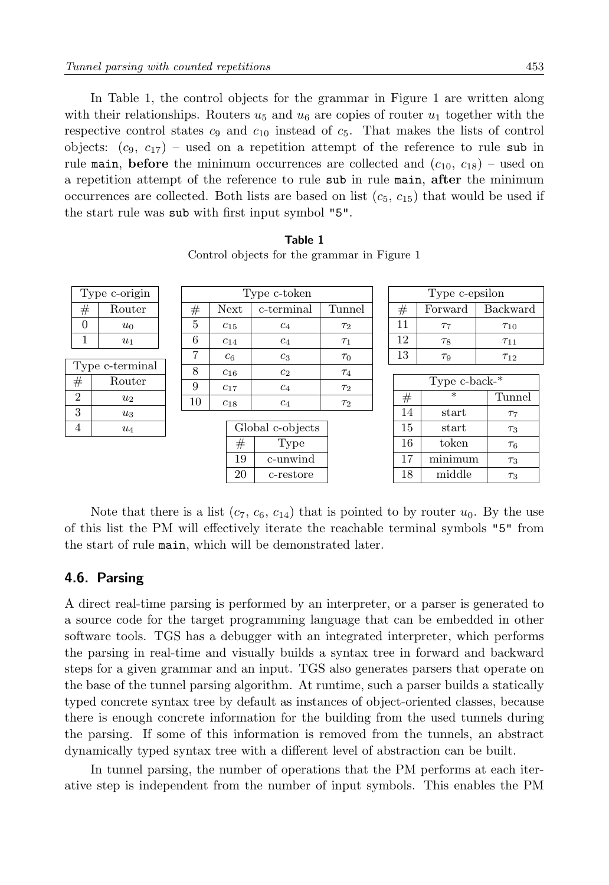In Table [1,](#page-12-0) the control objects for the grammar in Figure [1](#page-5-0) are written along with their relationships. Routers  $u_5$  and  $u_6$  are copies of router  $u_1$  together with the respective control states  $c_9$  and  $c_{10}$  instead of  $c_5$ . That makes the lists of control objects:  $(c_9, c_{17})$  – used on a repetition attempt of the reference to rule sub in rule main, before the minimum occurrences are collected and  $(c_{10}, c_{18})$  – used on a repetition attempt of the reference to rule sub in rule main, after the minimum occurrences are collected. Both lists are based on list  $(c_5, c_{15})$  that would be used if the start rule was sub with first input symbol "5".

| Type c-token                  |                 |                |          |  |  |  |
|-------------------------------|-----------------|----------------|----------|--|--|--|
| $^{\#}$                       | Next            | c-terminal     | Tunnel   |  |  |  |
| 5                             | $c_{15}$        | $c_4$          |          |  |  |  |
| 6                             | C <sub>14</sub> | c <sub>4</sub> | $\tau_1$ |  |  |  |
| 7                             | c <sub>6</sub>  | c <sub>3</sub> | $\tau_0$ |  |  |  |
| 8                             | $c_{16}$        | c <sub>2</sub> | $\tau_4$ |  |  |  |
| 9                             | $c_{17}$        | c <sub>4</sub> | $\tau_2$ |  |  |  |
| 10                            | $c_{18}$        | c <sub>4</sub> | $\tau_2$ |  |  |  |
| Global c-objects<br>Type<br># |                 |                |          |  |  |  |
|                               | 19              | c-unwind       |          |  |  |  |
|                               | 20              | c-restore      |          |  |  |  |

Table 1 Control objects for the grammar in Figure [1](#page-5-0)

| 13                  | Tq             | T12      |  |  |  |  |  |
|---------------------|----------------|----------|--|--|--|--|--|
|                     |                |          |  |  |  |  |  |
| Type $c$ -back- $*$ |                |          |  |  |  |  |  |
| $\#$                | $\ast$         | Tunnel   |  |  |  |  |  |
| 14                  | $_{\rm start}$ | $\tau_7$ |  |  |  |  |  |
| 15                  | $_{\rm start}$ | $\tau_3$ |  |  |  |  |  |
| 16                  | token          | $\tau_6$ |  |  |  |  |  |
| 17                  | minimum        | $\tau_3$ |  |  |  |  |  |
| 18                  | middle         | Т3       |  |  |  |  |  |

Type c-epsilon  $#$  Forward Backward 11 |  $\tau_7$  |  $\tau_{10}$ 12 |  $\tau_8$  |  $\tau_{11}$ 

Note that there is a list  $(c_7, c_6, c_{14})$  that is pointed to by router  $u_0$ . By the use of this list the PM will effectively iterate the reachable terminal symbols "5" from the start of rule main, which will be demonstrated later.

#### 4.6. Parsing

<span id="page-12-0"></span>Type c-origin  $\#$  | Router  $0 \quad u_0$  $1 \quad u_1$ Type c-terminal  $#$  Router 2  $u_2$  $3 \mid u_3$ 4  $u_4$ 

A direct real-time parsing is performed by an interpreter, or a parser is generated to a source code for the target programming language that can be embedded in other software tools. TGS has a debugger with an integrated interpreter, which performs the parsing in real-time and visually builds a syntax tree in forward and backward steps for a given grammar and an input. TGS also generates parsers that operate on the base of the tunnel parsing algorithm. At runtime, such a parser builds a statically typed concrete syntax tree by default as instances of object-oriented classes, because there is enough concrete information for the building from the used tunnels during the parsing. If some of this information is removed from the tunnels, an abstract dynamically typed syntax tree with a different level of abstraction can be built.

In tunnel parsing, the number of operations that the PM performs at each iterative step is independent from the number of input symbols. This enables the PM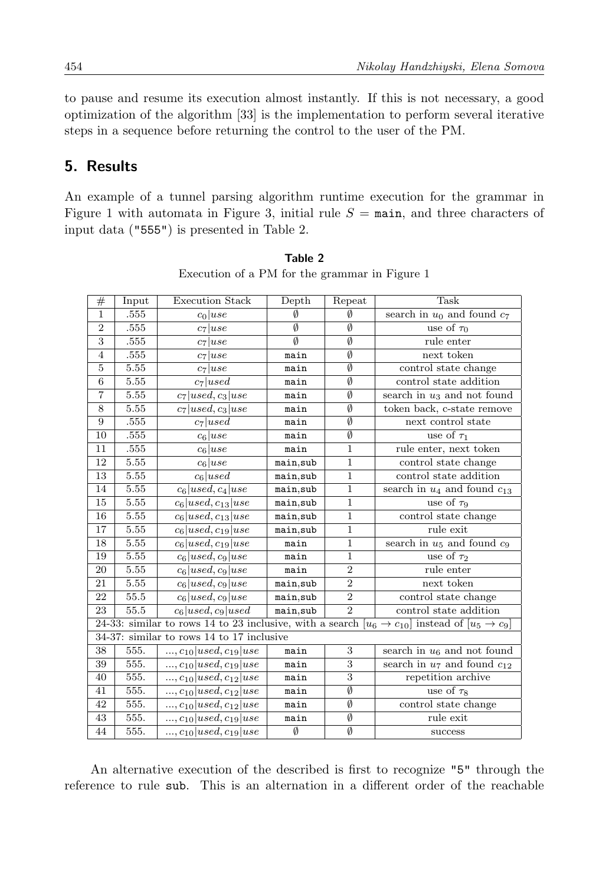to pause and resume its execution almost instantly. If this is not necessary, a good optimization of the algorithm [\[33\]](#page-20-1) is the implementation to perform several iterative steps in a sequence before returning the control to the user of the PM.

# <span id="page-13-0"></span>5. Results

An example of a tunnel parsing algorithm runtime execution for the grammar in Figure [1](#page-5-0) with automata in Figure [3,](#page-7-0) initial rule  $S = \text{main}$ , and three characters of input data ("555") is presented in Table [2.](#page-13-1)

<span id="page-13-1"></span>

| #                         | Input    | <b>Execution Stack</b>                    | Depth                  | Repeat                 | Task                                                                                                                   |
|---------------------------|----------|-------------------------------------------|------------------------|------------------------|------------------------------------------------------------------------------------------------------------------------|
| $\mathbf{1}$              | .555     | $c_0 use$                                 | Ø                      | Ø                      | search in $u_0$ and found $c_7$                                                                                        |
| $\overline{2}$            | $.555\,$ | $c_7 use$                                 | $\emptyset$            | $\overline{\emptyset}$ | use of $\tau_0$                                                                                                        |
| $\overline{\overline{3}}$ | .555     | $c_7 use$                                 | $\overline{\emptyset}$ | $\overline{\emptyset}$ | rule enter                                                                                                             |
| $\overline{4}$            | $.555\,$ | $c_7 use$                                 | main                   | Ø                      | next token                                                                                                             |
| $\overline{5}$            | 5.55     | $c_7 use$                                 | main                   | Ø                      | control state change                                                                                                   |
| 6                         | $5.55\,$ | $c_7$  used                               | main                   | $\emptyset$            | control state addition                                                                                                 |
| 7                         | 5.55     | $c_7 used, c_3 use$                       | main                   | $\overline{\emptyset}$ | search in $u_3$ and not found                                                                                          |
| 8                         | 5.55     | $c_7 used, c_3 use$                       | main                   | Ø                      | token back, c-state remove                                                                                             |
| 9                         | .555     | $c_7$  used                               | main                   | $\overline{\emptyset}$ | next control state                                                                                                     |
| 10                        | $.555\,$ | $c_6 use$                                 | main                   | $\overline{\emptyset}$ | use of $\tau_1$                                                                                                        |
| 11                        | .555     | $c_6 use$                                 | main                   | $\mathbf{1}$           | rule enter, next token                                                                                                 |
| 12                        | $5.55\,$ | $c_6 use$                                 | main,sub               | $\overline{1}$         | control state change                                                                                                   |
| 13                        | $5.55\,$ | $c_6$  used                               | main,sub               | $\mathbf{1}$           | control state addition                                                                                                 |
| 14                        | $5.55\,$ | $c_6 used, c_4 use$                       | main, sub              | $\overline{1}$         | search in $u_4$ and found $c_{13}$                                                                                     |
| 15                        | 5.55     | $c_6$  used, $c_{13}$  use                | main,sub               | $\mathbf{1}$           | use of $\tau_9$                                                                                                        |
| 16                        | $5.55\,$ | $c_6 used, c_{13} use$                    | main,sub               | $\overline{1}$         | control state change                                                                                                   |
| 17                        | $5.55\,$ | $c_6 used, c_{19} use$                    | main,sub               | $\overline{1}$         | rule exit                                                                                                              |
| 18                        | 5.55     | $c_6 used, c_{19} use$                    | main                   | $\mathbf{1}$           | search in $u_5$ and found $c_9$                                                                                        |
| 19                        | 5.55     | $c_6 used, c_9 use$                       | main                   | $\mathbf{1}$           | use of $\tau_2$                                                                                                        |
| 20                        | 5.55     | $c_6 used, c_9 use$                       | main                   | $\overline{2}$         | rule enter                                                                                                             |
| 21                        | 5.55     | $c_6 used, c_9 use$                       | main, sub              | $\overline{2}$         | next token                                                                                                             |
| 22                        | $55.5\,$ | $c_6 used, c_9 use$                       | main, sub              | $\overline{2}$         | control state change                                                                                                   |
| 23                        | 55.5     | $c_6 used, c_9 used$                      | main, sub              | $\overline{2}$         | control state addition                                                                                                 |
|                           |          |                                           |                        |                        | 24-33: similar to rows 14 to 23 inclusive, with a search $[u_6 \rightarrow c_{10}]$ instead of $[u_5 \rightarrow c_9]$ |
|                           |          | 34-37: similar to rows 14 to 17 inclusive |                        |                        |                                                                                                                        |
| 38                        | 555.     | $, c_{10}  used, c_{19}  use$             | main                   | 3                      | search in $u_6$ and not found                                                                                          |
| 39                        | 555.     | $, c_{10}  used, c_{19} use$              | main                   | 3                      | search in $u_7$ and found $c_{12}$                                                                                     |
| 40                        | 555.     | , $c_{10} used, c_{12} use$               | main                   | $\overline{3}$         | repetition archive                                                                                                     |
| 41                        | 555.     | $, c_{10}  used, c_{12} use$              | main                   | $\overline{\emptyset}$ | use of $\tau_8$                                                                                                        |
| 42                        | 555.     | $, c_{10}  used, c_{12} use$              | main                   | Ø                      | control state change                                                                                                   |
| 43                        | 555.     | $, c_{10}  used, c_{19} use$              | main                   | $\overline{\emptyset}$ | rule exit                                                                                                              |
| 44                        | 555.     | $, c_{10}  used, c_{19} use$              | Ø                      | Ø                      | success                                                                                                                |

Table 2 Execution of a PM for the grammar in Figure [1](#page-5-0)

An alternative execution of the described is first to recognize "5" through the reference to rule sub. This is an alternation in a different order of the reachable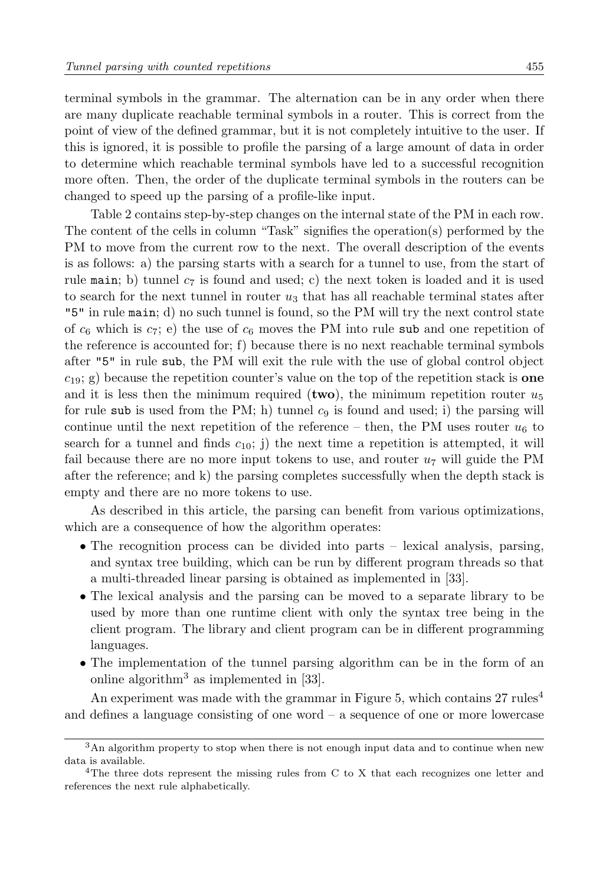terminal symbols in the grammar. The alternation can be in any order when there are many duplicate reachable terminal symbols in a router. This is correct from the point of view of the defined grammar, but it is not completely intuitive to the user. If this is ignored, it is possible to profile the parsing of a large amount of data in order to determine which reachable terminal symbols have led to a successful recognition more often. Then, the order of the duplicate terminal symbols in the routers can be changed to speed up the parsing of a profile-like input.

Table [2](#page-13-1) contains step-by-step changes on the internal state of the PM in each row. The content of the cells in column "Task" signifies the operation(s) performed by the PM to move from the current row to the next. The overall description of the events is as follows: a) the parsing starts with a search for a tunnel to use, from the start of rule main; b) tunnel  $c_7$  is found and used; c) the next token is loaded and it is used to search for the next tunnel in router  $u_3$  that has all reachable terminal states after "5" in rule main; d) no such tunnel is found, so the PM will try the next control state of  $c_6$  which is  $c_7$ ; e) the use of  $c_6$  moves the PM into rule sub and one repetition of the reference is accounted for; f) because there is no next reachable terminal symbols after "5" in rule sub, the PM will exit the rule with the use of global control object  $c_{19}$ ; g) because the repetition counter's value on the top of the repetition stack is **one** and it is less then the minimum required (two), the minimum repetition router  $u_5$ for rule sub is used from the PM; h) tunnel  $c_9$  is found and used; i) the parsing will continue until the next repetition of the reference – then, the PM uses router  $u_6$  to search for a tunnel and finds  $c_{10}$ ; j) the next time a repetition is attempted, it will fail because there are no more input tokens to use, and router  $u_7$  will guide the PM after the reference; and k) the parsing completes successfully when the depth stack is empty and there are no more tokens to use.

As described in this article, the parsing can benefit from various optimizations, which are a consequence of how the algorithm operates:

- The recognition process can be divided into parts lexical analysis, parsing, and syntax tree building, which can be run by different program threads so that a multi-threaded linear parsing is obtained as implemented in [\[33\]](#page-20-1).
- The lexical analysis and the parsing can be moved to a separate library to be used by more than one runtime client with only the syntax tree being in the client program. The library and client program can be in different programming languages.
- The implementation of the tunnel parsing algorithm can be in the form of an online algorithm<sup>[3](#page-14-0)</sup> as implemented in [\[33\]](#page-20-1).

An experiment was made with the grammar in Figure [5,](#page-15-0) which contains  $27 \text{ rules}^4$  $27 \text{ rules}^4$ and defines a language consisting of one word – a sequence of one or more lowercase

<span id="page-14-0"></span><sup>3</sup>An algorithm property to stop when there is not enough input data and to continue when new data is available.

<span id="page-14-1"></span><sup>&</sup>lt;sup>4</sup>The three dots represent the missing rules from C to X that each recognizes one letter and references the next rule alphabetically.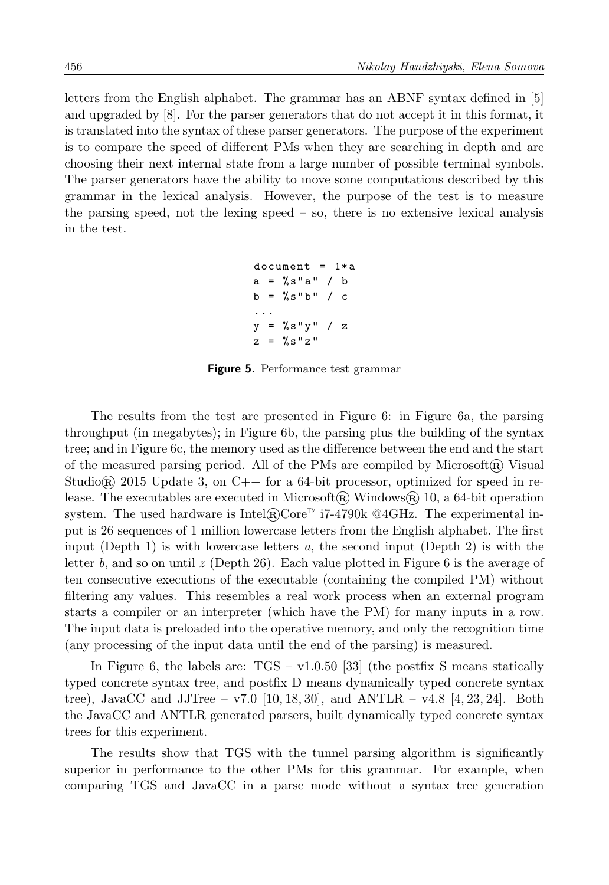<span id="page-15-0"></span>letters from the English alphabet. The grammar has an ABNF syntax defined in [\[5\]](#page-18-4) and upgraded by [\[8\]](#page-19-14). For the parser generators that do not accept it in this format, it is translated into the syntax of these parser generators. The purpose of the experiment is to compare the speed of different PMs when they are searching in depth and are choosing their next internal state from a large number of possible terminal symbols. The parser generators have the ability to move some computations described by this grammar in the lexical analysis. However, the purpose of the test is to measure the parsing speed, not the lexing speed – so, there is no extensive lexical analysis in the test.

```
document = 1*aa = %s" a" / bb = %s" b" / c...
y = %s"y" / zz = %s"z"
```
Figure 5. Performance test grammar

The results from the test are presented in Figure [6:](#page-16-0) in Figure [6a](#page-16-0), the parsing throughput (in megabytes); in Figure [6b](#page-16-0), the parsing plus the building of the syntax tree; and in Figure [6c](#page-16-0), the memory used as the difference between the end and the start of the measured parsing period. All of the PMs are compiled by Microsoft $(\mathbb{R})$  Visual Studio<sub>n</sub> 2015 Update 3, on C<sub>++</sub> for a 64-bit processor, optimized for speed in release. The executables are executed in Microsoft@ Windows@ 10, a 64-bit operation system. The used hardware is Intel $\mathbb{R}$ Core<sup>™</sup> i7-4790k @4GHz. The experimental input is 26 sequences of 1 million lowercase letters from the English alphabet. The first input (Depth 1) is with lowercase letters  $a$ , the second input (Depth 2) is with the letter b, and so on until  $z$  (Depth 26). Each value plotted in Figure [6](#page-16-0) is the average of ten consecutive executions of the executable (containing the compiled PM) without filtering any values. This resembles a real work process when an external program starts a compiler or an interpreter (which have the PM) for many inputs in a row. The input data is preloaded into the operative memory, and only the recognition time (any processing of the input data until the end of the parsing) is measured.

In Figure [6,](#page-16-0) the labels are:  $TGS - v1.0.50$  [\[33\]](#page-20-1) (the postfix S means statically typed concrete syntax tree, and postfix D means dynamically typed concrete syntax tree), JavaCC and JJTree – v7.0  $[10, 18, 30]$  $[10, 18, 30]$  $[10, 18, 30]$ , and ANTLR – v4.8  $[4, 23, 24]$  $[4, 23, 24]$  $[4, 23, 24]$ . Both the JavaCC and ANTLR generated parsers, built dynamically typed concrete syntax trees for this experiment.

The results show that TGS with the tunnel parsing algorithm is significantly superior in performance to the other PMs for this grammar. For example, when comparing TGS and JavaCC in a parse mode without a syntax tree generation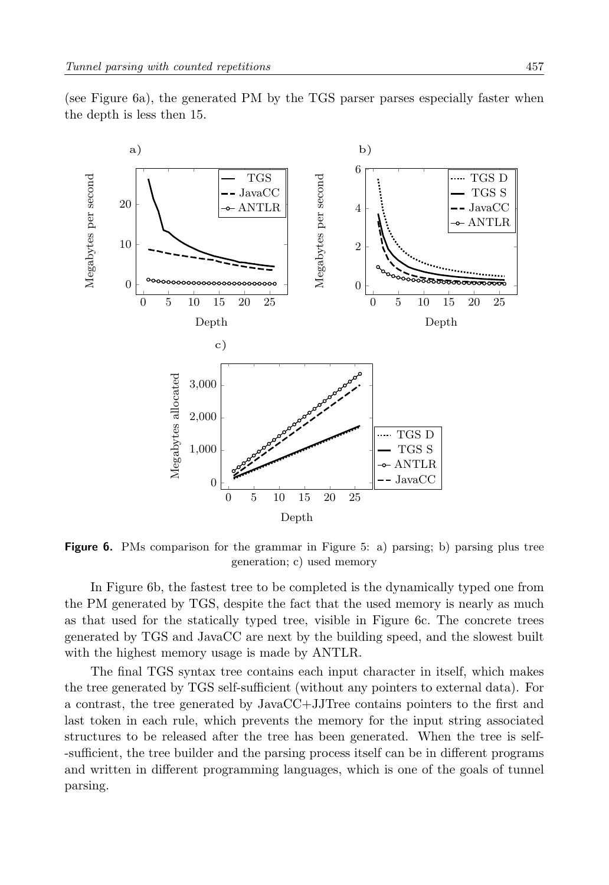(see Figure [6a](#page-16-0)), the generated PM by the TGS parser parses especially faster when the depth is less then 15.

<span id="page-16-0"></span>

Figure 6. PMs comparison for the grammar in Figure [5:](#page-15-0) a) parsing; b) parsing plus tree generation; c) used memory

In Figure [6b](#page-16-0), the fastest tree to be completed is the dynamically typed one from the PM generated by TGS, despite the fact that the used memory is nearly as much as that used for the statically typed tree, visible in Figure [6c](#page-16-0). The concrete trees generated by TGS and JavaCC are next by the building speed, and the slowest built with the highest memory usage is made by ANTLR.

The final TGS syntax tree contains each input character in itself, which makes the tree generated by TGS self-sufficient (without any pointers to external data). For a contrast, the tree generated by JavaCC+JJTree contains pointers to the first and last token in each rule, which prevents the memory for the input string associated structures to be released after the tree has been generated. When the tree is self- -sufficient, the tree builder and the parsing process itself can be in different programs and written in different programming languages, which is one of the goals of tunnel parsing.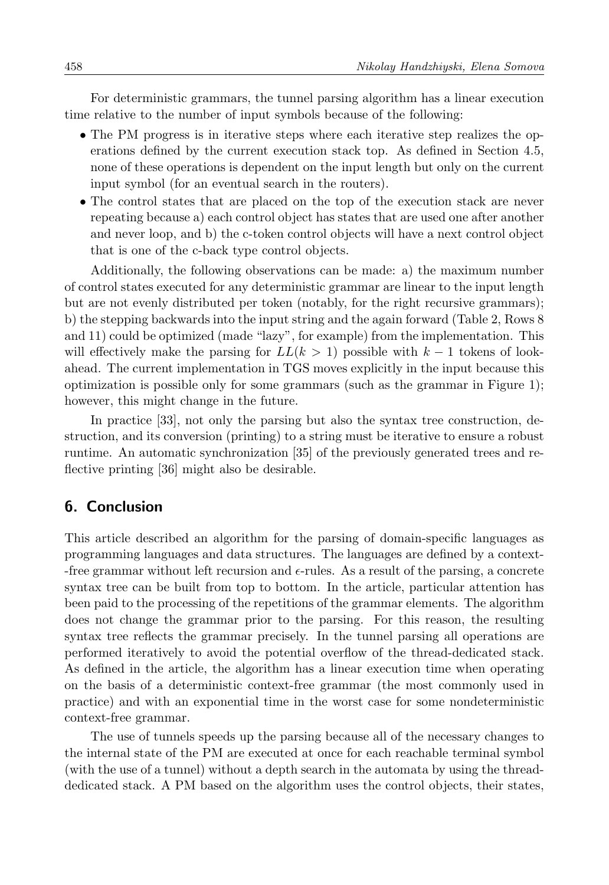For deterministic grammars, the tunnel parsing algorithm has a linear execution time relative to the number of input symbols because of the following:

- The PM progress is in iterative steps where each iterative step realizes the operations defined by the current execution stack top. As defined in Section [4.5,](#page-10-0) none of these operations is dependent on the input length but only on the current input symbol (for an eventual search in the routers).
- The control states that are placed on the top of the execution stack are never repeating because a) each control object has states that are used one after another and never loop, and b) the c-token control objects will have a next control object that is one of the c-back type control objects.

Additionally, the following observations can be made: a) the maximum number of control states executed for any deterministic grammar are linear to the input length but are not evenly distributed per token (notably, for the right recursive grammars); b) the stepping backwards into the input string and the again forward (Table [2,](#page-13-1) Rows 8 and 11) could be optimized (made "lazy", for example) from the implementation. This will effectively make the parsing for  $LL(k > 1)$  possible with  $k - 1$  tokens of lookahead. The current implementation in TGS moves explicitly in the input because this optimization is possible only for some grammars (such as the grammar in Figure [1\)](#page-5-0); however, this might change in the future.

In practice [\[33\]](#page-20-1), not only the parsing but also the syntax tree construction, destruction, and its conversion (printing) to a string must be iterative to ensure a robust runtime. An automatic synchronization [\[35\]](#page-20-13) of the previously generated trees and reflective printing [\[36\]](#page-20-14) might also be desirable.

# <span id="page-17-0"></span>6. Conclusion

This article described an algorithm for the parsing of domain-specific languages as programming languages and data structures. The languages are defined by a context- -free grammar without left recursion and  $\epsilon$ -rules. As a result of the parsing, a concrete syntax tree can be built from top to bottom. In the article, particular attention has been paid to the processing of the repetitions of the grammar elements. The algorithm does not change the grammar prior to the parsing. For this reason, the resulting syntax tree reflects the grammar precisely. In the tunnel parsing all operations are performed iteratively to avoid the potential overflow of the thread-dedicated stack. As defined in the article, the algorithm has a linear execution time when operating on the basis of a deterministic context-free grammar (the most commonly used in practice) and with an exponential time in the worst case for some nondeterministic context-free grammar.

The use of tunnels speeds up the parsing because all of the necessary changes to the internal state of the PM are executed at once for each reachable terminal symbol (with the use of a tunnel) without a depth search in the automata by using the threaddedicated stack. A PM based on the algorithm uses the control objects, their states,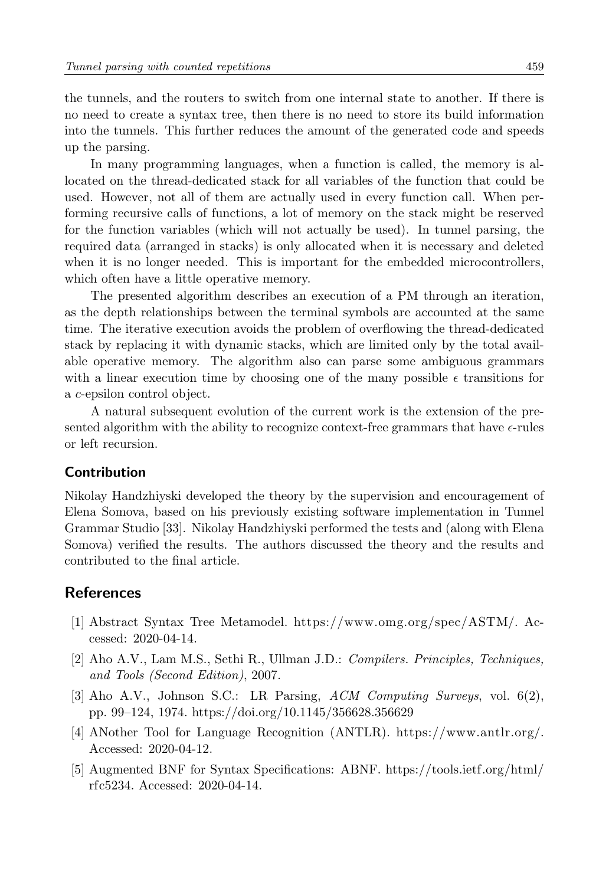the tunnels, and the routers to switch from one internal state to another. If there is no need to create a syntax tree, then there is no need to store its build information into the tunnels. This further reduces the amount of the generated code and speeds up the parsing.

In many programming languages, when a function is called, the memory is allocated on the thread-dedicated stack for all variables of the function that could be used. However, not all of them are actually used in every function call. When performing recursive calls of functions, a lot of memory on the stack might be reserved for the function variables (which will not actually be used). In tunnel parsing, the required data (arranged in stacks) is only allocated when it is necessary and deleted when it is no longer needed. This is important for the embedded microcontrollers, which often have a little operative memory.

The presented algorithm describes an execution of a PM through an iteration, as the depth relationships between the terminal symbols are accounted at the same time. The iterative execution avoids the problem of overflowing the thread-dedicated stack by replacing it with dynamic stacks, which are limited only by the total available operative memory. The algorithm also can parse some ambiguous grammars with a linear execution time by choosing one of the many possible  $\epsilon$  transitions for a c-epsilon control object.

A natural subsequent evolution of the current work is the extension of the presented algorithm with the ability to recognize context-free grammars that have  $\epsilon$ -rules or left recursion.

# Contribution

Nikolay Handzhiyski developed the theory by the supervision and encouragement of Elena Somova, based on his previously existing software implementation in Tunnel Grammar Studio [\[33\]](#page-20-1). Nikolay Handzhiyski performed the tests and (along with Elena Somova) verified the results. The authors discussed the theory and the results and contributed to the final article.

### References

- <span id="page-18-1"></span>[1] Abstract Syntax Tree Metamodel. [https://www.omg.org/spec/ASTM/.](https://www.omg.org/spec/ASTM/) Accessed: 2020-04-14.
- <span id="page-18-0"></span>[2] Aho A.V., Lam M.S., Sethi R., Ullman J.D.: Compilers. Principles, Techniques, and Tools (Second Edition), 2007.
- <span id="page-18-3"></span>[3] Aho A.V., Johnson S.C.: LR Parsing, ACM Computing Surveys, vol. 6(2), pp. 99–124, 1974.<https://doi.org/10.1145/356628.356629>
- <span id="page-18-2"></span>[4] ANother Tool for Language Recognition (ANTLR). [https://www.antlr.org/.](https://www.antlr.org/) Accessed: 2020-04-12.
- <span id="page-18-4"></span>[5] Augmented BNF for Syntax Specifications: ABNF. [https://tools.ietf.org/html/](https://tools.ietf.org/html/rfc5234) [rfc5234.](https://tools.ietf.org/html/rfc5234) Accessed: 2020-04-14.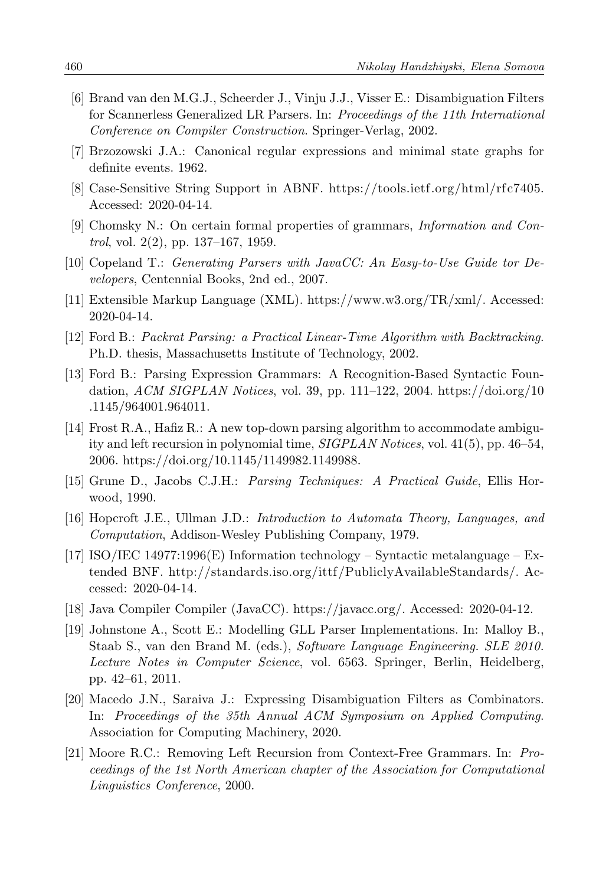- <span id="page-19-10"></span>[6] Brand van den M.G.J., Scheerder J., Vinju J.J., Visser E.: Disambiguation Filters for Scannerless Generalized LR Parsers. In: Proceedings of the 11th International Conference on Compiler Construction. Springer-Verlag, 2002.
- <span id="page-19-0"></span>[7] Brzozowski J.A.: Canonical regular expressions and minimal state graphs for definite events. 1962.
- <span id="page-19-14"></span>[8] Case-Sensitive String Support in ABNF. [https://tools.ietf.org/html/rfc7405.](https://tools.ietf.org/html/rfc7405) Accessed: 2020-04-14.
- <span id="page-19-2"></span>[9] Chomsky N.: On certain formal properties of grammars, Information and Con*trol*, vol.  $2(2)$ , pp.  $137-167$ , 1959.
- <span id="page-19-15"></span>[10] Copeland T.: Generating Parsers with JavaCC: An Easy-to-Use Guide tor Developers, Centennial Books, 2nd ed., 2007.
- <span id="page-19-5"></span>[11] Extensible Markup Language (XML). [https://www.w3.org/TR/xml/.](https://www.w3.org/TR/xml/) Accessed: 2020-04-14.
- <span id="page-19-7"></span>[12] Ford B.: Packrat Parsing: a Practical Linear-Time Algorithm with Backtracking. Ph.D. thesis, Massachusetts Institute of Technology, 2002.
- <span id="page-19-6"></span>[13] Ford B.: Parsing Expression Grammars: A Recognition-Based Syntactic Foundation, ACM SIGPLAN Notices, vol. 39, pp. 111–122, 2004. [https://doi.org/10](https://doi.org/10.1145/964001.964011) [.1145/964001.964011.](https://doi.org/10.1145/964001.964011)
- <span id="page-19-8"></span>[14] Frost R.A., Hafiz R.: A new top-down parsing algorithm to accommodate ambiguity and left recursion in polynomial time, SIGPLAN Notices, vol. 41(5), pp. 46–54, 2006. [https://doi.org/10.1145/1149982.1149988.](https://doi.org/10.1145/1149982.1149988)
- <span id="page-19-4"></span>[15] Grune D., Jacobs C.J.H.: Parsing Techniques: A Practical Guide, Ellis Horwood, 1990.
- <span id="page-19-13"></span>[16] Hopcroft J.E., Ullman J.D.: Introduction to Automata Theory, Languages, and Computation, Addison-Wesley Publishing Company, 1979.
- <span id="page-19-12"></span>[17] ISO/IEC 14977:1996(E) Information technology – Syntactic metalanguage – Extended BNF. [http://standards.iso.org/ittf /PubliclyAvailableStandards/.](http://standards.iso.org/ittf/PubliclyAvailableStandards/) Accessed: 2020-04-14.
- <span id="page-19-3"></span>[18] Java Compiler Compiler (JavaCC). [https://javacc.org/.](https://javacc.org/) Accessed: 2020-04-12.
- <span id="page-19-11"></span>[19] Johnstone A., Scott E.: Modelling GLL Parser Implementations. In: Malloy B., Staab S., van den Brand M. (eds.), Software Language Engineering. SLE 2010. Lecture Notes in Computer Science, vol. 6563. Springer, Berlin, Heidelberg, pp. 42–61, 2011.
- <span id="page-19-9"></span>[20] Macedo J.N., Saraiva J.: Expressing Disambiguation Filters as Combinators. In: Proceedings of the 35th Annual ACM Symposium on Applied Computing. Association for Computing Machinery, 2020.
- <span id="page-19-1"></span>[21] Moore R.C.: Removing Left Recursion from Context-Free Grammars. In: Proceedings of the 1st North American chapter of the Association for Computational Linguistics Conference, 2000.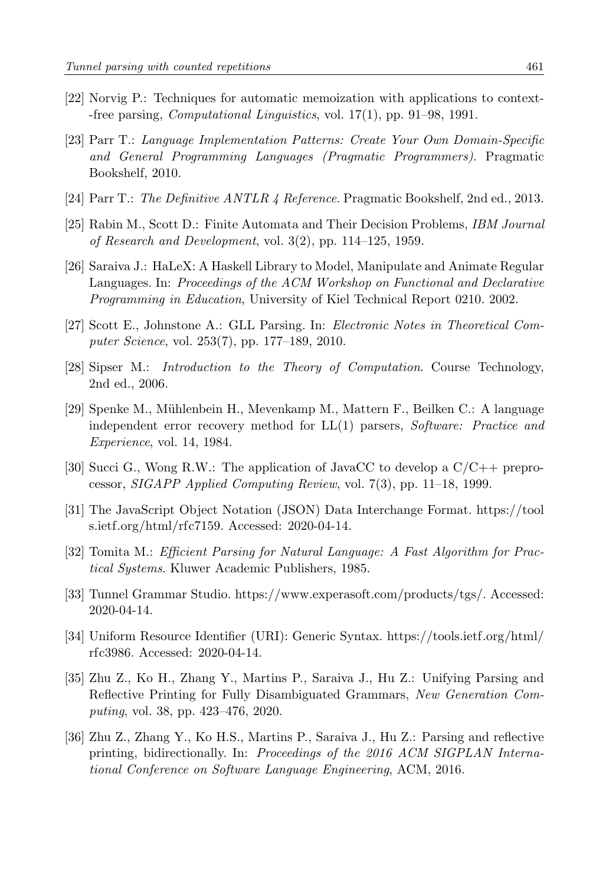- <span id="page-20-7"></span>[22] Norvig P.: Techniques for automatic memoization with applications to context- -free parsing, Computational Linguistics, vol. 17(1), pp. 91–98, 1991.
- <span id="page-20-4"></span>[23] Parr T.: Language Implementation Patterns: Create Your Own Domain-Specific and General Programming Languages (Pragmatic Programmers). Pragmatic Bookshelf, 2010.
- <span id="page-20-12"></span><span id="page-20-2"></span>[24] Parr T.: The Definitive ANTLR 4 Reference. Pragmatic Bookshelf, 2nd ed., 2013.
- [25] Rabin M., Scott D.: Finite Automata and Their Decision Problems, IBM Journal of Research and Development, vol. 3(2), pp. 114–125, 1959.
- <span id="page-20-3"></span>[26] Saraiva J.: HaLeX: A Haskell Library to Model, Manipulate and Animate Regular Languages. In: Proceedings of the ACM Workshop on Functional and Declarative Programming in Education, University of Kiel Technical Report 0210. 2002.
- <span id="page-20-9"></span>[27] Scott E., Johnstone A.: GLL Parsing. In: Electronic Notes in Theoretical Computer Science, vol. 253(7), pp. 177–189, 2010.
- <span id="page-20-0"></span>[28] Sipser M.: Introduction to the Theory of Computation. Course Technology, 2nd ed., 2006.
- <span id="page-20-10"></span>[29] Spenke M., M¨uhlenbein H., Mevenkamp M., Mattern F., Beilken C.: A language independent error recovery method for LL(1) parsers, Software: Practice and Experience, vol. 14, 1984.
- <span id="page-20-11"></span>[30] Succi G., Wong R.W.: The application of JavaCC to develop a  $C/C++$  preprocessor, SIGAPP Applied Computing Review, vol. 7(3), pp. 11–18, 1999.
- <span id="page-20-5"></span>[31] The JavaScript Object Notation (JSON) Data Interchange Format. [https://tool](https://tools.ietf.org/html/rfc7159) [s.ietf.org/html/rfc7159.](https://tools.ietf.org/html/rfc7159) Accessed: 2020-04-14.
- <span id="page-20-8"></span>[32] Tomita M.: Efficient Parsing for Natural Language: A Fast Algorithm for Practical Systems. Kluwer Academic Publishers, 1985.
- <span id="page-20-1"></span>[33] Tunnel Grammar Studio. [https://www.experasoft.com/products/tgs/.](https://www.experasoft.com/products/tgs/) Accessed: 2020-04-14.
- <span id="page-20-6"></span>[34] Uniform Resource Identifier (URI): Generic Syntax. [https://tools.ietf.org/html/](https://tools.ietf.org/html/rfc3986) [rfc3986.](https://tools.ietf.org/html/rfc3986) Accessed: 2020-04-14.
- <span id="page-20-13"></span>[35] Zhu Z., Ko H., Zhang Y., Martins P., Saraiva J., Hu Z.: Unifying Parsing and Reflective Printing for Fully Disambiguated Grammars, New Generation Computing, vol. 38, pp. 423–476, 2020.
- <span id="page-20-14"></span>[36] Zhu Z., Zhang Y., Ko H.S., Martins P., Saraiva J., Hu Z.: Parsing and reflective printing, bidirectionally. In: Proceedings of the 2016 ACM SIGPLAN International Conference on Software Language Engineering, ACM, 2016.